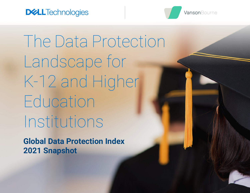



The Data Protection Landscape for K-12 and Higher Education Institutions

**Global Data Protection Index 2021 Snapshot**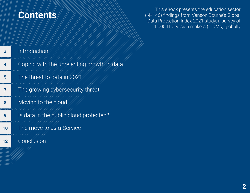#### <span id="page-1-0"></span>**Contents**

This eBook presents the education sector (N=146) findings from Vanson Bourne's Global Data Protection Index 2021 study, a survey of 1,000 IT decision makers (ITDMs) globally

| 3  | Introduction<br>11 11 11 1                 |
|----|--------------------------------------------|
| 4  | Coping with the unrelenting growth in data |
| 5  | The threat to data in 2021                 |
| 7  | The growing cybersecurity threat           |
| 8  | Moving to the cloud                        |
| 9  | Is data in the public cloud protected?     |
| 10 | The move to as-a-Service                   |
| 12 | 77 77 77 77 77 77 77<br>Conclusion         |
|    |                                            |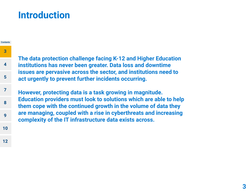#### <span id="page-2-0"></span>**Introduction**

**[12](#page-11-0)**

#### **The data protection challenge facing K-12 and Higher Education institutions has never been greater. Data loss and downtime issues are pervasive across the sector, and institutions need to act urgently to prevent further incidents occurring. However, protecting data is a task growing in magnitude. Education providers must look to solutions which are able to help them cope with the continued growth in the volume of data they are managing, coupled with a rise in cyberthreats and increasing complexity of the IT infrastructure data exists across. [Contents](#page-1-0) 3 [4](#page-3-0) [5](#page-4-0) [7](#page-6-0) [8](#page-7-0) [9](#page-8-0) [10](#page-9-0)**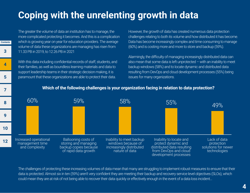## <span id="page-3-0"></span>**Coping with the unrelenting growth in data**

The greater the volume of data an institution has to manage, the more complicated protecting it becomes. And this is a complication which is growing year on year for education providers. The average volume of data these organizations are managing has risen from 11.33 PB in 2019, to 12.26 PB in 2021

**[Contents](#page-1-0)**

**[3](#page-2-0)**

**4**

**[5](#page-4-0)**

**[7](#page-6-0)**

**[8](#page-7-0)**

**[9](#page-8-0)**

**[10](#page-9-0)**

**[12](#page-11-0)**

With this data including confidential records of staff, students, and their families, as well as boundless learning materials and data to support leadership teams in their strategic decision making, it is paramount that these organizations are able to protect their data.

However, the growth of data has created numerous data protection challenges relating to both its volume and how distributed it has become. Data has become increasingly complex and time consuming to manage (60%) and is costing more and more to store and backup (59%).

Alarmingly, the difficulty of managing increasingly distributed data can also mean that some data is left unprotected – with an inability to meet backup windows (58%) and to locate dynamic and distributed data resulting from DevOps and cloud development processes (55%) being issues for many organizations.

#### $\frac{60\%}{49\%}$  59% 58% 58% 55% 49% Increased operational management time and complexity Ballooning costs of storing and managing backup copies because of rapid data growth Inability to meet backup windows because of increasingly distributed nature of data Inability to locate and protect dynamic and distributed data resulting from DevOps and cloud development processes Lack of data protection solutions for newer technologies

#### **Which of the following challenges is your organization facing in relation to data protection?**

The challenges of protecting these increasing volumes of data mean that many are struggling to implement robust measures to ensure that their data is protected. Almost six in ten (59%) aren't very confident they are meeting their backup and recovery service level objectives (SLOs), which could mean they are at risk of not being able to recover their data quickly or effectively enough in the event of a data loss incident…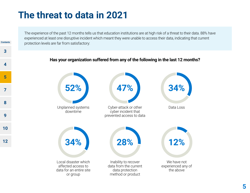## <span id="page-4-0"></span>**The threat to data in 2021**

**[Contents](#page-1-0)**

**[3](#page-2-0)**

**[4](#page-3-0)**

**5**

**[7](#page-6-0)**

**[8](#page-7-0)**

**[9](#page-8-0)**

**[10](#page-9-0)**

**[12](#page-11-0)**

The experience of the past 12 months tells us that education institutions are at high risk of a threat to their data. 88% have experienced at least one disruptive incident which meant they were unable to access their data, indicating that current protection levels are far from satisfactory:

#### **Has your organization suffered from any of the following in the last 12 months?**

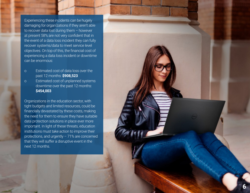Experiencing these incidents can be hugely damaging for organizations if they aren't able to recover data lost during them – however at present 58% are not very confident that in the event of a data loss incident they can fully recover systems/data to meet service level objectives. On top of this, the financial cost of experiencing a data loss incident or downtime can be enormous:

- o Estimated cost of data loss over the past 12 months: **\$908,523**
- o Estimated cost of unplanned systems downtime over the past 12 months: **\$454,003**

Organizations in the education sector, with tight budgets and limited resources, could be financially devastated by these costs, making the need for them to ensure they have suitable data protection solutions in place ever more important. In light of these threats, education institutions must take action to improve their protections, and urgently – 71% are concerned that they will suffer a disruptive event in the next 12 months.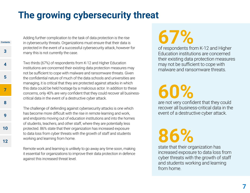# <span id="page-6-0"></span>**The growing cybersecurity threat**

Adding further complication to the task of data protection is the rise in cybersecurity threats. Organizations must ensure that their data is protected in the event of a successful cybersecurity attack, however for many this is not currently the case.

**[Contents](#page-1-0)**

**[3](#page-2-0)**

**[4](#page-3-0)**

**[5](#page-4-0)**

**7**

**[8](#page-7-0)**

**[9](#page-8-0)**

**[10](#page-9-0)**

**[12](#page-11-0)**

Two thirds (67%) of respondents from K-12 and Higher Education institutions are concerned their existing data protection measures may not be sufficient to cope with malware and ransomware threats. Given the confidential nature of much of the data schools and universities are managing, it is critical that they are protected against attacks in which this data could be held hostage by a malicious actor. In addition to these concerns, only 40% are very confident that they could recover all businesscritical data in the event of a destructive cyber attack.

The challenge of defending against cybersecurity attacks is one which has become more difficult with the rise in remote learning and work, and endpoints moving out of education institutions and into the homes of students, teachers, and other staff, where they are potentially less protected. 86% state that their organization has increased exposure to data loss from cyber threats with the growth of staff and students working and learning from home.

Remote work and learning is unlikely to go away any time soon, making it essential for organizations to improve their data protection in defence against this increased threat level.

# **67%**

of respondents from K-12 and Higher Education institutions are concerned their existing data protection measures may not be sufficient to cope with malware and ransomware threats.

# **60%**

are not very confident that they could recover all business-critical data in the event of a destructive cyber attack.

# **86%**

state that their organization has increased exposure to data loss from cyber threats with the growth of staff and students working and learning from home.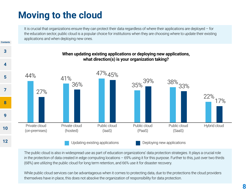# <span id="page-7-0"></span>**Moving to the cloud**

It is crucial that organizations ensure they can protect their data regardless of where their applications are deployed – for the education sector, public cloud is a popular choice for institutions when they are choosing where to update their existing applications and when deploying new ones.



The public cloud is also in widespread use as part of education organizations' data protection strategies. It plays a crucial role in the protection of data created in edge computing locations – 69% using it for this purpose. Further to this, just over two thirds (68%) are utilizing the public cloud for long term retention, and 66% use it for disaster recovery.

While public cloud services can be advantageous when it comes to protecting data, due to the protections the cloud providers themselves have in place, this does not absolve the organization of responsibility for data protection.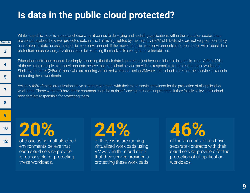## <span id="page-8-0"></span>**Is data in the public cloud protected?**

While the public cloud is a popular choice when it comes to deploying and updating applications within the education sector, there are concerns about how well protected data in it is. This is highlighted by the majority (56%) of ITDMs who are not very confident they can protect all data across their public cloud environment. If the move to public cloud environments is not combined with robust data protection measures, organizations could be exposing themselves to even greater vulnerabilities.

Education institutions cannot risk simply assuming that their data is protected just because it is held in a public cloud. A fifth (20%) of those using multiple cloud environments believe that each cloud service provider is responsible for protecting these workloads. Similarly, a quarter (24%) of those who are running virtualized workloads using VMware in the cloud state that their service provider is protecting these workloads.

Yet, only 46% of these organizations have separate contracts with their cloud service providers for the protection of all application workloads. Those who don't have these contracts could be at risk of leaving their data unprotected if they falsely believe their cloud providers are responsible for protecting them.

**20%**

**[Contents](#page-1-0)**

**[3](#page-2-0)**

**[4](#page-3-0)**

**[5](#page-4-0)**

**[7](#page-6-0)**

**[8](#page-7-0)**

**9**

**[10](#page-9-0)**

**[12](#page-11-0)**

of those using multiple cloud environments believe that each cloud service provider is responsible for protecting these workloads.



of those who are running virtualized workloads using VMware in the cloud state that their service provider is protecting these workloads.

of these organizations have separate contracts with their cloud service providers for the protection of all application workloads.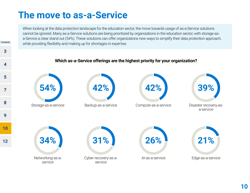#### <span id="page-9-0"></span>**The move to as-a-Service**

**[Contents](#page-1-0)**

When looking at the data protection landscape for the education sector, the move towards usage of as-a-Service solutions cannot be ignored. Many as-a-Service solutions are being prioritized by organizations in the education sector, with storage-asa-Service a clear stand out (54%). These solutions can offer organizations new ways to simplify their data protection approach, while providing flexibility and making up for shortages in expertise.

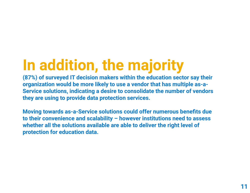# **In addition, the majority**

**(87%) of surveyed IT decision makers within the education sector say their organization would be more likely to use a vendor that has multiple as-a-Service solutions, indicating a desire to consolidate the number of vendors they are using to provide data protection services.** 

**Moving towards as-a-Service solutions could offer numerous benefits due to their convenience and scalability – however institutions need to assess whether all the solutions available are able to deliver the right level of protection for education data.**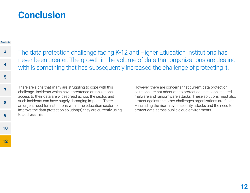#### <span id="page-11-0"></span>**Conclusion**

#### **[Contents](#page-1-0)**

**[5](#page-4-0)**

**[7](#page-6-0)**

**[8](#page-7-0)**

**[9](#page-8-0)**

**[10](#page-9-0)**

The data protection challenge facing K-12 and Higher Education institutions has never been greater. The growth in the volume of data that organizations are dealing with is something that has subsequently increased the challenge of protecting it. **[3](#page-2-0) [4](#page-3-0)**

There are signs that many are struggling to cope with this challenge. Incidents which have threatened organizations' access to their data are widespread across the sector, and such incidents can have hugely damaging impacts. There is an urgent need for institutions within the education sector to improve the data protection solution(s) they are currently using to address this.

However, there are concerns that current data protection solutions are not adequate to protect against sophisticated malware and ransomware attacks. These solutions must also protect against the other challenges organizations are facing – including the rise in cybersecurity attacks and the need to protect data across public cloud environments.